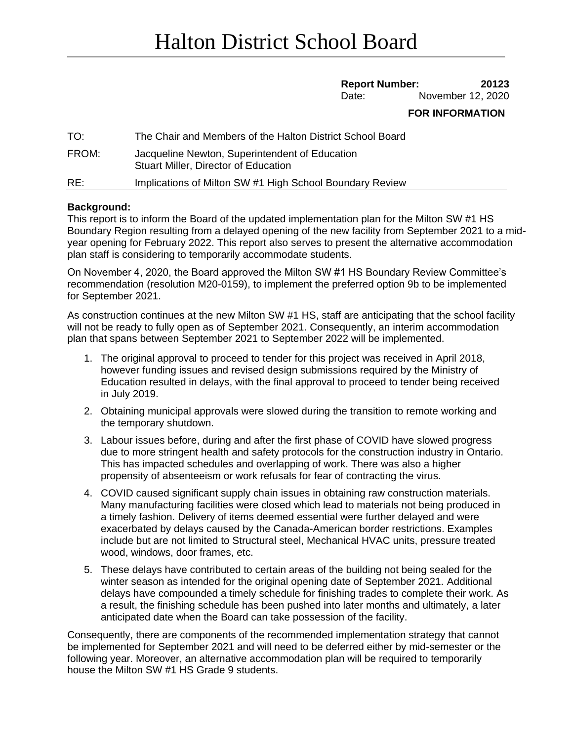## **Report Number: 20123**

Date: November 12, 2020

## **FOR INFORMATION**

| TO:   | The Chair and Members of the Halton District School Board                                     |
|-------|-----------------------------------------------------------------------------------------------|
| FROM: | Jacqueline Newton, Superintendent of Education<br><b>Stuart Miller, Director of Education</b> |
| RE:   | Implications of Milton SW #1 High School Boundary Review                                      |

## **Background:**

This report is to inform the Board of the updated implementation plan for the Milton SW #1 HS Boundary Region resulting from a delayed opening of the new facility from September 2021 to a midyear opening for February 2022. This report also serves to present the alternative accommodation plan staff is considering to temporarily accommodate students.

On November 4, 2020, the Board approved the Milton SW #1 HS Boundary Review Committee's recommendation (resolution M20-0159), to implement the preferred option 9b to be implemented for September 2021.

As construction continues at the new Milton SW #1 HS, staff are anticipating that the school facility will not be ready to fully open as of September 2021. Consequently, an interim accommodation plan that spans between September 2021 to September 2022 will be implemented.

- 1. The original approval to proceed to tender for this project was received in April 2018, however funding issues and revised design submissions required by the Ministry of Education resulted in delays, with the final approval to proceed to tender being received in July 2019.
- 2. Obtaining municipal approvals were slowed during the transition to remote working and the temporary shutdown.
- 3. Labour issues before, during and after the first phase of COVID have slowed progress due to more stringent health and safety protocols for the construction industry in Ontario. This has impacted schedules and overlapping of work. There was also a higher propensity of absenteeism or work refusals for fear of contracting the virus.
- 4. COVID caused significant supply chain issues in obtaining raw construction materials. Many manufacturing facilities were closed which lead to materials not being produced in a timely fashion. Delivery of items deemed essential were further delayed and were exacerbated by delays caused by the Canada-American border restrictions. Examples include but are not limited to Structural steel, Mechanical HVAC units, pressure treated wood, windows, door frames, etc.
- 5. These delays have contributed to certain areas of the building not being sealed for the winter season as intended for the original opening date of September 2021. Additional delays have compounded a timely schedule for finishing trades to complete their work. As a result, the finishing schedule has been pushed into later months and ultimately, a later anticipated date when the Board can take possession of the facility.

Consequently, there are components of the recommended implementation strategy that cannot be implemented for September 2021 and will need to be deferred either by mid-semester or the following year. Moreover, an alternative accommodation plan will be required to temporarily house the Milton SW #1 HS Grade 9 students.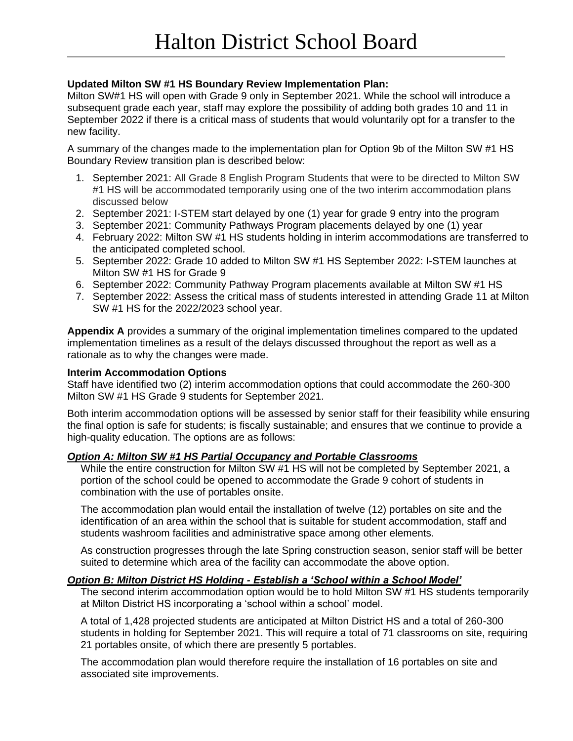# **Updated Milton SW #1 HS Boundary Review Implementation Plan:**

Milton SW#1 HS will open with Grade 9 only in September 2021. While the school will introduce a subsequent grade each year, staff may explore the possibility of adding both grades 10 and 11 in September 2022 if there is a critical mass of students that would voluntarily opt for a transfer to the new facility.

A summary of the changes made to the implementation plan for Option 9b of the Milton SW #1 HS Boundary Review transition plan is described below:

- 1. September 2021: All Grade 8 English Program Students that were to be directed to Milton SW #1 HS will be accommodated temporarily using one of the two interim accommodation plans discussed below
- 2. September 2021: I-STEM start delayed by one (1) year for grade 9 entry into the program
- 3. September 2021: Community Pathways Program placements delayed by one (1) year
- 4. February 2022: Milton SW #1 HS students holding in interim accommodations are transferred to the anticipated completed school.
- 5. September 2022: Grade 10 added to Milton SW #1 HS September 2022: I-STEM launches at Milton SW #1 HS for Grade 9
- 6. September 2022: Community Pathway Program placements available at Milton SW #1 HS
- 7. September 2022: Assess the critical mass of students interested in attending Grade 11 at Milton SW #1 HS for the 2022/2023 school year.

**Appendix A** provides a summary of the original implementation timelines compared to the updated implementation timelines as a result of the delays discussed throughout the report as well as a rationale as to why the changes were made.

## **Interim Accommodation Options**

Staff have identified two (2) interim accommodation options that could accommodate the 260-300 Milton SW #1 HS Grade 9 students for September 2021.

Both interim accommodation options will be assessed by senior staff for their feasibility while ensuring the final option is safe for students; is fiscally sustainable; and ensures that we continue to provide a high-quality education. The options are as follows:

## *Option A: Milton SW #1 HS Partial Occupancy and Portable Classrooms*

While the entire construction for Milton SW #1 HS will not be completed by September 2021, a portion of the school could be opened to accommodate the Grade 9 cohort of students in combination with the use of portables onsite.

The accommodation plan would entail the installation of twelve (12) portables on site and the identification of an area within the school that is suitable for student accommodation, staff and students washroom facilities and administrative space among other elements.

As construction progresses through the late Spring construction season, senior staff will be better suited to determine which area of the facility can accommodate the above option.

## *Option B: Milton District HS Holding - Establish a 'School within a School Model'*

The second interim accommodation option would be to hold Milton SW #1 HS students temporarily at Milton District HS incorporating a 'school within a school' model.

A total of 1,428 projected students are anticipated at Milton District HS and a total of 260-300 students in holding for September 2021. This will require a total of 71 classrooms on site, requiring 21 portables onsite, of which there are presently 5 portables.

The accommodation plan would therefore require the installation of 16 portables on site and associated site improvements.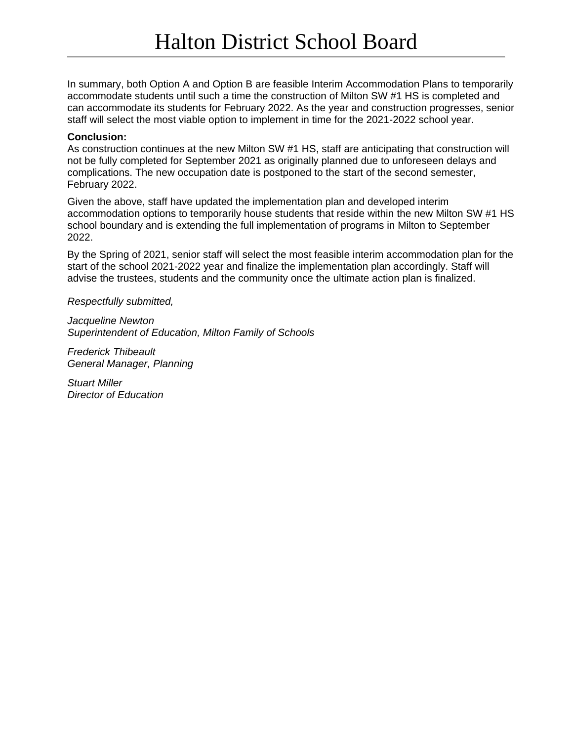In summary, both Option A and Option B are feasible Interim Accommodation Plans to temporarily accommodate students until such a time the construction of Milton SW #1 HS is completed and can accommodate its students for February 2022. As the year and construction progresses, senior staff will select the most viable option to implement in time for the 2021-2022 school year.

#### **Conclusion:**

As construction continues at the new Milton SW #1 HS, staff are anticipating that construction will not be fully completed for September 2021 as originally planned due to unforeseen delays and complications. The new occupation date is postponed to the start of the second semester, February 2022.

Given the above, staff have updated the implementation plan and developed interim accommodation options to temporarily house students that reside within the new Milton SW #1 HS school boundary and is extending the full implementation of programs in Milton to September 2022.

By the Spring of 2021, senior staff will select the most feasible interim accommodation plan for the start of the school 2021-2022 year and finalize the implementation plan accordingly. Staff will advise the trustees, students and the community once the ultimate action plan is finalized.

*Respectfully submitted,*

*Jacqueline Newton Superintendent of Education, Milton Family of Schools*

*Frederick Thibeault General Manager, Planning*

*Stuart Miller Director of Education*